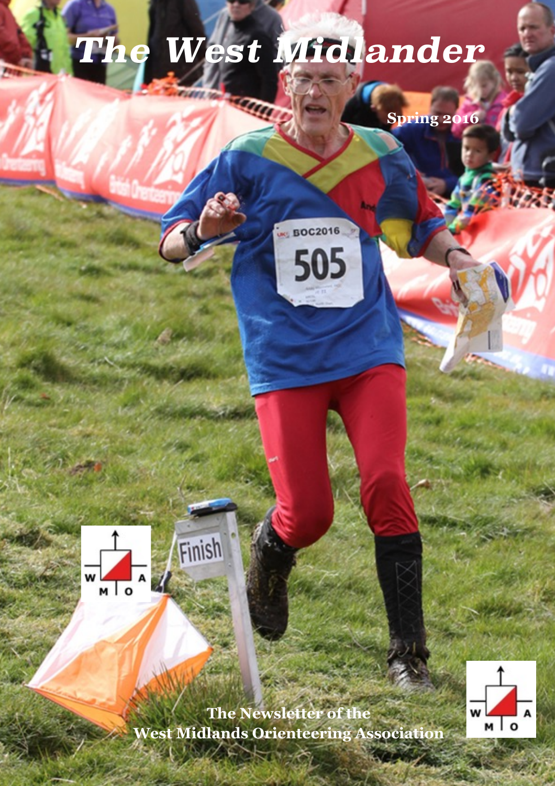# *The West Midlander*

**BOC2016** 

505

**Spring 2016**





**The Newsletter of the West Midlands Orienteering Association**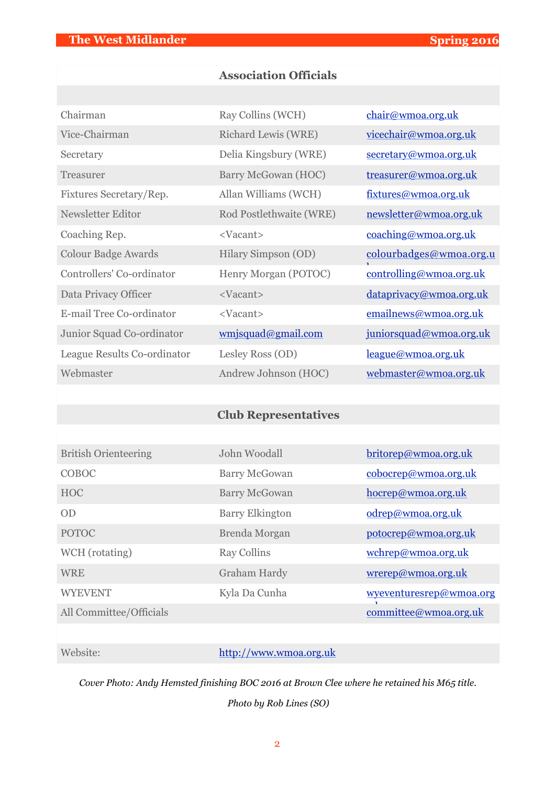## **Association Officials**

| Chairman                    | Ray Collins (WCH)       | chair@wmoa.org.uk       |
|-----------------------------|-------------------------|-------------------------|
| Vice-Chairman               | Richard Lewis (WRE)     | vicechair@wmoa.org.uk   |
| Secretary                   | Delia Kingsbury (WRE)   | secretary@wmoa.org.uk   |
| Treasurer                   | Barry McGowan (HOC)     | treasurer@wmoa.org.uk   |
| Fixtures Secretary/Rep.     | Allan Williams (WCH)    | fixtures@wmoa.org.uk    |
| Newsletter Editor           | Rod Postlethwaite (WRE) | newsletter@wmoa.org.uk  |
| Coaching Rep.               | <vacant></vacant>       | coaching@wmoa.org.uk    |
| <b>Colour Badge Awards</b>  | Hilary Simpson (OD)     | colourbadges@wmoa.org.u |
| Controllers' Co-ordinator   | Henry Morgan (POTOC)    | controlling@wmoa.org.uk |
| Data Privacy Officer        | <vacant></vacant>       | dataprivacy@wmoa.org.uk |
| E-mail Tree Co-ordinator    | <vacant></vacant>       | emailnews@wmoa.org.uk   |
| Junior Squad Co-ordinator   | wmjsquad@gmail.com      | juniorsquad@wmoa.org.uk |
| League Results Co-ordinator | Lesley Ross (OD)        | league@wmoa.org.uk      |
| Webmaster                   | Andrew Johnson (HOC)    | webmaster@wmoa.org.uk   |

## **Club Representatives**

| <b>British Orienteering</b> | John Woodall           | britorep@wmoa.org.uk    |
|-----------------------------|------------------------|-------------------------|
| COBOC                       | <b>Barry McGowan</b>   | cobocrep@wmoa.org.uk    |
| <b>HOC</b>                  | <b>Barry McGowan</b>   | hocrep@wmoa.org.uk      |
| OD                          | <b>Barry Elkington</b> | odrep@wmoa.org.uk       |
| <b>POTOC</b>                | Brenda Morgan          | potocrep@wmoa.org.uk    |
| WCH (rotating)              | <b>Ray Collins</b>     | wchrep@wmoa.org.uk      |
| <b>WRE</b>                  | <b>Graham Hardy</b>    | wrerep@wmoa.org.uk      |
| <b>WYEVENT</b>              | Kyla Da Cunha          | wyeventuresrep@wmoa.org |
| All Committee/Officials     |                        | committee@wmoa.org.uk   |

#### Website: <http://www.wmoa.org.uk>

*Cover Photo: Andy Hemsted finishing BOC 2016 at Brown Clee where he retained his M65 title.* 

*Photo by Rob Lines (SO)*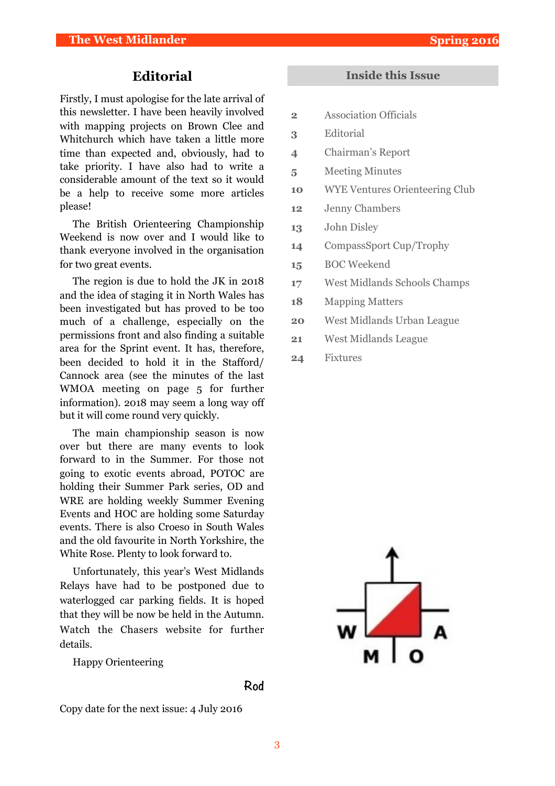#### **Editorial**

Firstly, I must apologise for the late arrival of this newsletter. I have been heavily involved with mapping projects on Brown Clee and Whitchurch which have taken a little more time than expected and, obviously, had to take priority. I have also had to write a considerable amount of the text so it would be a help to receive some more articles please!

The British Orienteering Championship Weekend is now over and I would like to thank everyone involved in the organisation for two great events.

The region is due to hold the JK in 2018 and the idea of staging it in North Wales has been investigated but has proved to be too much of a challenge, especially on the permissions front and also finding a suitable area for the Sprint event. It has, therefore, been decided to hold it in the Stafford/ Cannock area (see the minutes of the last WMOA meeting on page 5 for further information). 2018 may seem a long way off but it will come round very quickly.

The main championship season is now over but there are many events to look forward to in the Summer. For those not going to exotic events abroad, POTOC are holding their Summer Park series, OD and WRE are holding weekly Summer Evening Events and HOC are holding some Saturday events. There is also Croeso in South Wales and the old favourite in North Yorkshire, the White Rose. Plenty to look forward to.

Unfortunately, this year's West Midlands Relays have had to be postponed due to waterlogged car parking fields. It is hoped that they will be now be held in the Autumn. Watch the Chasers website for further details.

Happy Orienteering

#### **Rod**

Copy date for the next issue: 4 July 2016

#### **Inside this Issue**

- **2** Association Officials
- **3** Editorial
- **4** Chairman's Report
- **5** Meeting Minutes
- **10** WYE Ventures Orienteering Club
- **12** Jenny Chambers
- **13** John Disley
- **14** CompassSport Cup/Trophy
- **15** BOC Weekend
- **17** West Midlands Schools Champs
- **18** Mapping Matters
- **20** West Midlands Urban League
- **21** West Midlands League
- **24** Fixtures

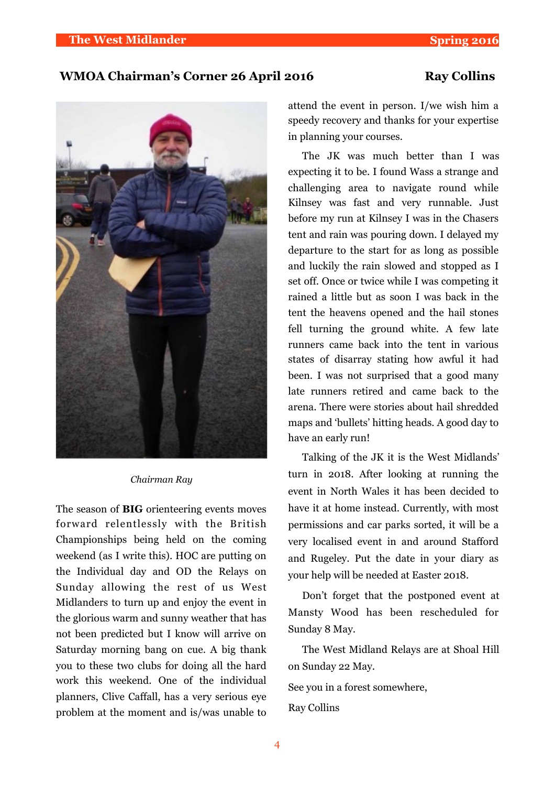#### WMOA Chairman's Corner 26 April 2016 Ray Collins



#### *Chairman Ray*

The season of **BIG** orienteering events moves forward relentlessly with the British Championships being held on the coming weekend (as I write this). HOC are putting on the Individual day and OD the Relays on Sunday allowing the rest of us West Midlanders to turn up and enjoy the event in the glorious warm and sunny weather that has not been predicted but I know will arrive on Saturday morning bang on cue. A big thank you to these two clubs for doing all the hard work this weekend. One of the individual planners, Clive Caffall, has a very serious eye problem at the moment and is/was unable to attend the event in person. I/we wish him a speedy recovery and thanks for your expertise in planning your courses.

The JK was much better than I was expecting it to be. I found Wass a strange and challenging area to navigate round while Kilnsey was fast and very runnable. Just before my run at Kilnsey I was in the Chasers tent and rain was pouring down. I delayed my departure to the start for as long as possible and luckily the rain slowed and stopped as I set off. Once or twice while I was competing it rained a little but as soon I was back in the tent the heavens opened and the hail stones fell turning the ground white. A few late runners came back into the tent in various states of disarray stating how awful it had been. I was not surprised that a good many late runners retired and came back to the arena. There were stories about hail shredded maps and 'bullets' hitting heads. A good day to have an early run!

Talking of the JK it is the West Midlands' turn in 2018. After looking at running the event in North Wales it has been decided to have it at home instead. Currently, with most permissions and car parks sorted, it will be a very localised event in and around Stafford and Rugeley. Put the date in your diary as your help will be needed at Easter 2018.

Don't forget that the postponed event at Mansty Wood has been rescheduled for Sunday 8 May.

The West Midland Relays are at Shoal Hill on Sunday 22 May.

See you in a forest somewhere,

Ray Collins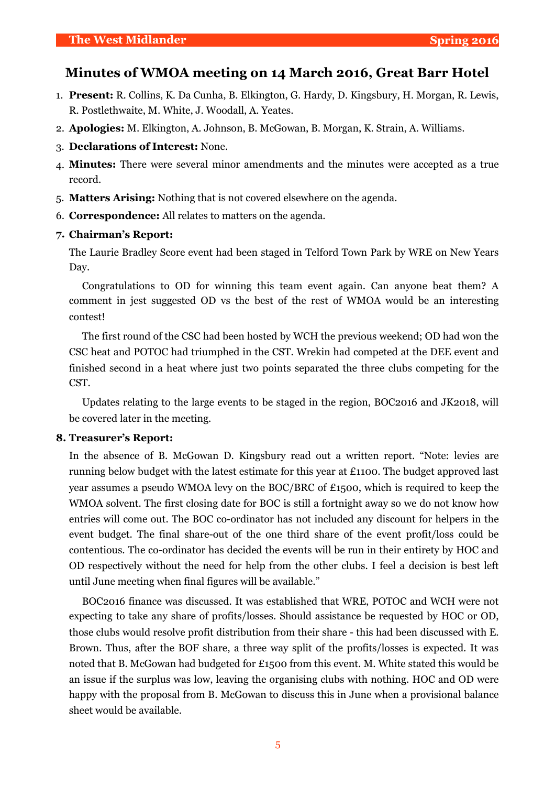#### **Minutes of WMOA meeting on 14 March 2016, Great Barr Hotel**

- 1. **Present:** R. Collins, K. Da Cunha, B. Elkington, G. Hardy, D. Kingsbury, H. Morgan, R. Lewis, R. Postlethwaite, M. White, J. Woodall, A. Yeates.
- 2. **Apologies:** M. Elkington, A. Johnson, B. McGowan, B. Morgan, K. Strain, A. Williams.
- 3. **Declarations of Interest:** None.
- 4. **Minutes:** There were several minor amendments and the minutes were accepted as a true record.
- 5. **Matters Arising:** Nothing that is not covered elsewhere on the agenda.
- 6. **Correspondence:** All relates to matters on the agenda.

#### **7. Chairman's Report:**

The Laurie Bradley Score event had been staged in Telford Town Park by WRE on New Years Day.

Congratulations to OD for winning this team event again. Can anyone beat them? A comment in jest suggested OD vs the best of the rest of WMOA would be an interesting contest!

The first round of the CSC had been hosted by WCH the previous weekend; OD had won the CSC heat and POTOC had triumphed in the CST. Wrekin had competed at the DEE event and finished second in a heat where just two points separated the three clubs competing for the CST.

Updates relating to the large events to be staged in the region, BOC2016 and JK2018, will be covered later in the meeting.

#### **8. Treasurer's Report:**

In the absence of B. McGowan D. Kingsbury read out a written report. "Note: levies are running below budget with the latest estimate for this year at £1100. The budget approved last year assumes a pseudo WMOA levy on the BOC/BRC of £1500, which is required to keep the WMOA solvent. The first closing date for BOC is still a fortnight away so we do not know how entries will come out. The BOC co-ordinator has not included any discount for helpers in the event budget. The final share-out of the one third share of the event profit/loss could be contentious. The co-ordinator has decided the events will be run in their entirety by HOC and OD respectively without the need for help from the other clubs. I feel a decision is best left until June meeting when final figures will be available."

BOC2016 finance was discussed. It was established that WRE, POTOC and WCH were not expecting to take any share of profits/losses. Should assistance be requested by HOC or OD, those clubs would resolve profit distribution from their share - this had been discussed with E. Brown. Thus, after the BOF share, a three way split of the profits/losses is expected. It was noted that B. McGowan had budgeted for £1500 from this event. M. White stated this would be an issue if the surplus was low, leaving the organising clubs with nothing. HOC and OD were happy with the proposal from B. McGowan to discuss this in June when a provisional balance sheet would be available.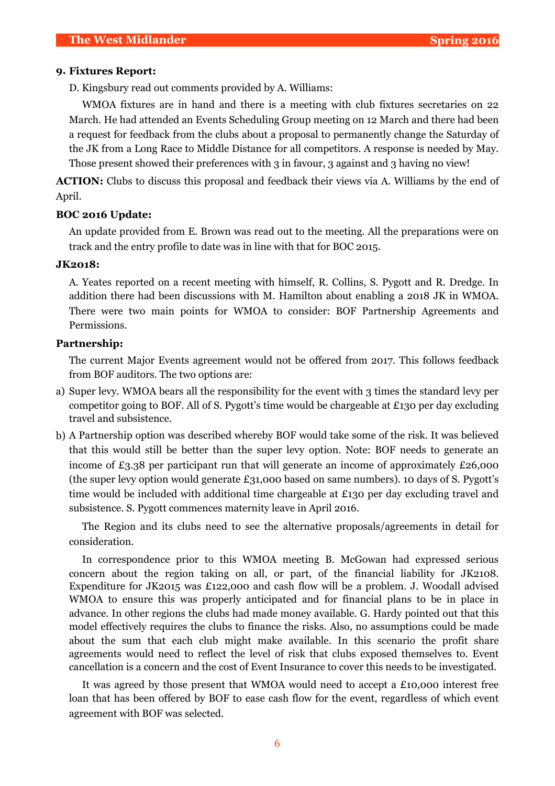#### **9. Fixtures Report:**

D. Kingsbury read out comments provided by A. Williams:

WMOA fixtures are in hand and there is a meeting with club fixtures secretaries on 22 March. He had attended an Events Scheduling Group meeting on 12 March and there had been a request for feedback from the clubs about a proposal to permanently change the Saturday of the JK from a Long Race to Middle Distance for all competitors. A response is needed by May. Those present showed their preferences with 3 in favour, 3 against and 3 having no view!

**ACTION:** Clubs to discuss this proposal and feedback their views via A. Williams by the end of April.

#### **BOC 2016 Update:**

An update provided from E. Brown was read out to the meeting. All the preparations were on track and the entry profile to date was in line with that for BOC 2015.

#### **JK2018:**

A. Yeates reported on a recent meeting with himself, R. Collins, S. Pygott and R. Dredge. In addition there had been discussions with M. Hamilton about enabling a 2018 JK in WMOA. There were two main points for WMOA to consider: BOF Partnership Agreements and Permissions.

#### **Partnership:**

The current Major Events agreement would not be offered from 2017. This follows feedback from BOF auditors. The two options are:

- a) Super levy. WMOA bears all the responsibility for the event with 3 times the standard levy per competitor going to BOF. All of S. Pygott's time would be chargeable at £130 per day excluding travel and subsistence.
- b) A Partnership option was described whereby BOF would take some of the risk. It was believed that this would still be better than the super levy option. Note: BOF needs to generate an income of £3.38 per participant run that will generate an income of approximately £26,000 (the super levy option would generate £31,000 based on same numbers). 10 days of S. Pygott's time would be included with additional time chargeable at £130 per day excluding travel and subsistence. S. Pygott commences maternity leave in April 2016.

The Region and its clubs need to see the alternative proposals/agreements in detail for consideration.

In correspondence prior to this WMOA meeting B. McGowan had expressed serious concern about the region taking on all, or part, of the financial liability for JK2108. Expenditure for JK2015 was £122,000 and cash flow will be a problem. J. Woodall advised WMOA to ensure this was properly anticipated and for financial plans to be in place in advance. In other regions the clubs had made money available. G. Hardy pointed out that this model effectively requires the clubs to finance the risks. Also, no assumptions could be made about the sum that each club might make available. In this scenario the profit share agreements would need to reflect the level of risk that clubs exposed themselves to. Event cancellation is a concern and the cost of Event Insurance to cover this needs to be investigated.

It was agreed by those present that WMOA would need to accept a £10,000 interest free loan that has been offered by BOF to ease cash flow for the event, regardless of which event agreement with BOF was selected.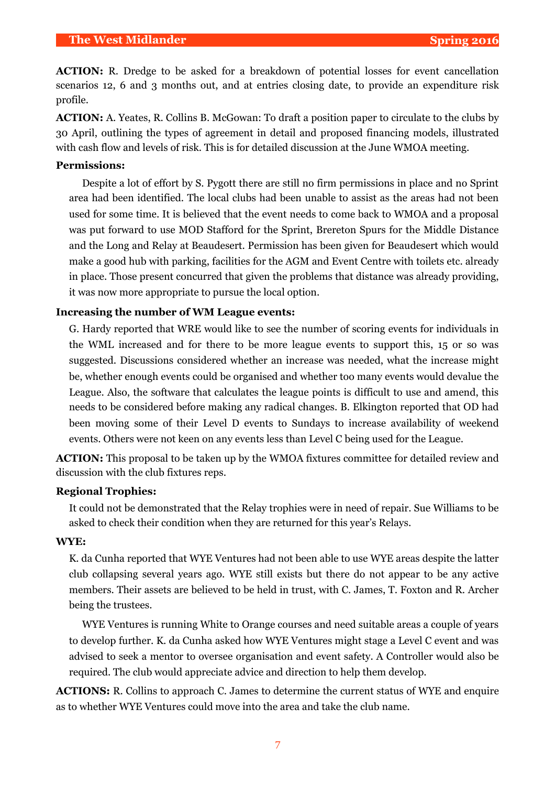**ACTION:** R. Dredge to be asked for a breakdown of potential losses for event cancellation scenarios 12, 6 and 3 months out, and at entries closing date, to provide an expenditure risk profile.

**ACTION:** A. Yeates, R. Collins B. McGowan: To draft a position paper to circulate to the clubs by 30 April, outlining the types of agreement in detail and proposed financing models, illustrated with cash flow and levels of risk. This is for detailed discussion at the June WMOA meeting.

#### **Permissions:**

Despite a lot of effort by S. Pygott there are still no firm permissions in place and no Sprint area had been identified. The local clubs had been unable to assist as the areas had not been used for some time. It is believed that the event needs to come back to WMOA and a proposal was put forward to use MOD Stafford for the Sprint, Brereton Spurs for the Middle Distance and the Long and Relay at Beaudesert. Permission has been given for Beaudesert which would make a good hub with parking, facilities for the AGM and Event Centre with toilets etc. already in place. Those present concurred that given the problems that distance was already providing, it was now more appropriate to pursue the local option.

#### **Increasing the number of WM League events:**

G. Hardy reported that WRE would like to see the number of scoring events for individuals in the WML increased and for there to be more league events to support this, 15 or so was suggested. Discussions considered whether an increase was needed, what the increase might be, whether enough events could be organised and whether too many events would devalue the League. Also, the software that calculates the league points is difficult to use and amend, this needs to be considered before making any radical changes. B. Elkington reported that OD had been moving some of their Level D events to Sundays to increase availability of weekend events. Others were not keen on any events less than Level C being used for the League.

**ACTION:** This proposal to be taken up by the WMOA fixtures committee for detailed review and discussion with the club fixtures reps.

#### **Regional Trophies:**

It could not be demonstrated that the Relay trophies were in need of repair. Sue Williams to be asked to check their condition when they are returned for this year's Relays.

#### **WYE:**

K. da Cunha reported that WYE Ventures had not been able to use WYE areas despite the latter club collapsing several years ago. WYE still exists but there do not appear to be any active members. Their assets are believed to be held in trust, with C. James, T. Foxton and R. Archer being the trustees.

WYE Ventures is running White to Orange courses and need suitable areas a couple of years to develop further. K. da Cunha asked how WYE Ventures might stage a Level C event and was advised to seek a mentor to oversee organisation and event safety. A Controller would also be required. The club would appreciate advice and direction to help them develop.

**ACTIONS:** R. Collins to approach C. James to determine the current status of WYE and enquire as to whether WYE Ventures could move into the area and take the club name.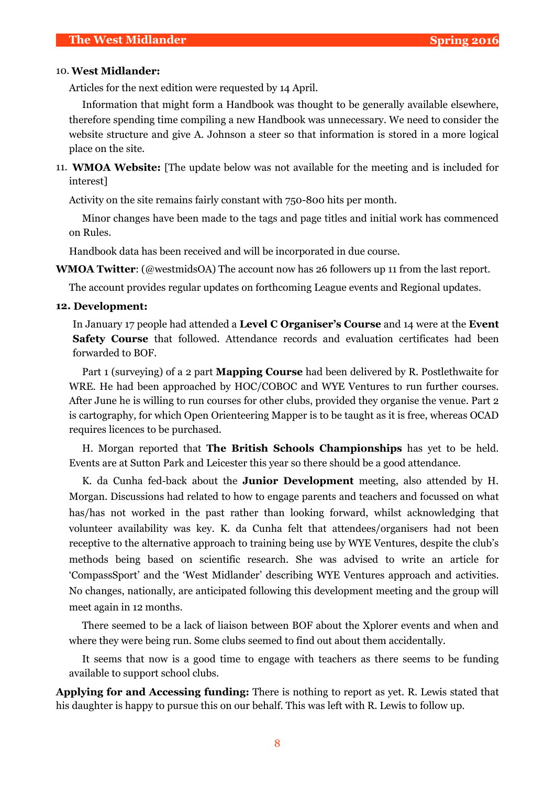#### 10. **West Midlander:**

Articles for the next edition were requested by 14 April.

Information that might form a Handbook was thought to be generally available elsewhere, therefore spending time compiling a new Handbook was unnecessary. We need to consider the website structure and give A. Johnson a steer so that information is stored in a more logical place on the site.

11. **WMOA Website:** [The update below was not available for the meeting and is included for interest]

Activity on the site remains fairly constant with 750-800 hits per month.

Minor changes have been made to the tags and page titles and initial work has commenced on Rules.

Handbook data has been received and will be incorporated in due course.

**WMOA Twitter**: (@westmidsOA) The account now has 26 followers up 11 from the last report.

The account provides regular updates on forthcoming League events and Regional updates.

#### **12. Development:**

In January 17 people had attended a **Level C Organiser's Course** and 14 were at the **Event Safety Course** that followed. Attendance records and evaluation certificates had been forwarded to BOF.

Part 1 (surveying) of a 2 part **Mapping Course** had been delivered by R. Postlethwaite for WRE. He had been approached by HOC/COBOC and WYE Ventures to run further courses. After June he is willing to run courses for other clubs, provided they organise the venue. Part 2 is cartography, for which Open Orienteering Mapper is to be taught as it is free, whereas OCAD requires licences to be purchased.

H. Morgan reported that **The British Schools Championships** has yet to be held. Events are at Sutton Park and Leicester this year so there should be a good attendance.

K. da Cunha fed-back about the **Junior Development** meeting, also attended by H. Morgan. Discussions had related to how to engage parents and teachers and focussed on what has/has not worked in the past rather than looking forward, whilst acknowledging that volunteer availability was key. K. da Cunha felt that attendees/organisers had not been receptive to the alternative approach to training being use by WYE Ventures, despite the club's methods being based on scientific research. She was advised to write an article for 'CompassSport' and the 'West Midlander' describing WYE Ventures approach and activities. No changes, nationally, are anticipated following this development meeting and the group will meet again in 12 months.

There seemed to be a lack of liaison between BOF about the Xplorer events and when and where they were being run. Some clubs seemed to find out about them accidentally.

It seems that now is a good time to engage with teachers as there seems to be funding available to support school clubs.

**Applying for and Accessing funding:** There is nothing to report as yet. R. Lewis stated that his daughter is happy to pursue this on our behalf. This was left with R. Lewis to follow up.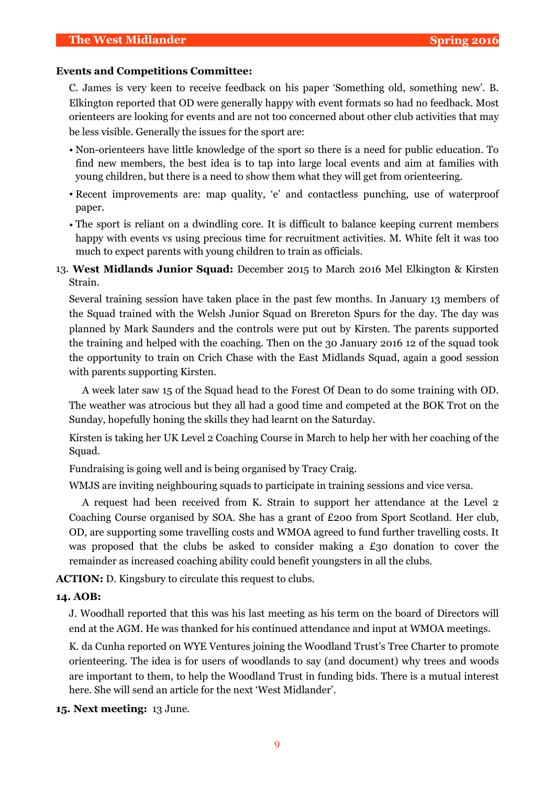#### **Events and Competitions Committee:**

C. James is very keen to receive feedback on his paper 'Something old, something new'. B. Elkington reported that OD were generally happy with event formats so had no feedback. Most orienteers are looking for events and are not too concerned about other club activities that may be less visible. Generally the issues for the sport are:

- Non-orienteers have little knowledge of the sport so there is a need for public education. To find new members, the best idea is to tap into large local events and aim at families with young children, but there is a need to show them what they will get from orienteering.
- Recent improvements are: map quality, 'e' and contactless punching, use of waterproof paper.
- The sport is reliant on a dwindling core. It is difficult to balance keeping current members happy with events vs using precious time for recruitment activities. M. White felt it was too much to expect parents with young children to train as officials.
- 13. **West Midlands Junior Squad:** December 2015 to March 2016 Mel Elkington & Kirsten Strain.

Several training session have taken place in the past few months. In January 13 members of the Squad trained with the Welsh Junior Squad on Brereton Spurs for the day. The day was planned by Mark Saunders and the controls were put out by Kirsten. The parents supported the training and helped with the coaching. Then on the 30 January 2016 12 of the squad took the opportunity to train on Crich Chase with the East Midlands Squad, again a good session with parents supporting Kirsten.

A week later saw 15 of the Squad head to the Forest Of Dean to do some training with OD. The weather was atrocious but they all had a good time and competed at the BOK Trot on the Sunday, hopefully honing the skills they had learnt on the Saturday.

Kirsten is taking her UK Level 2 Coaching Course in March to help her with her coaching of the Squad.

Fundraising is going well and is being organised by Tracy Craig.

WMJS are inviting neighbouring squads to participate in training sessions and vice versa.

A request had been received from K. Strain to support her attendance at the Level 2 Coaching Course organised by SOA. She has a grant of £200 from Sport Scotland. Her club, OD, are supporting some travelling costs and WMOA agreed to fund further travelling costs. It was proposed that the clubs be asked to consider making a  $\epsilon$ 30 donation to cover the remainder as increased coaching ability could benefit youngsters in all the clubs.

**ACTION:** D. Kingsbury to circulate this request to clubs.

#### **14. AOB:**

J. Woodhall reported that this was his last meeting as his term on the board of Directors will end at the AGM. He was thanked for his continued attendance and input at WMOA meetings.

K. da Cunha reported on WYE Ventures joining the Woodland Trust's Tree Charter to promote orienteering. The idea is for users of woodlands to say (and document) why trees and woods are important to them, to help the Woodland Trust in funding bids. There is a mutual interest here. She will send an article for the next 'West Midlander'.

**15. Next meeting:** 13 June.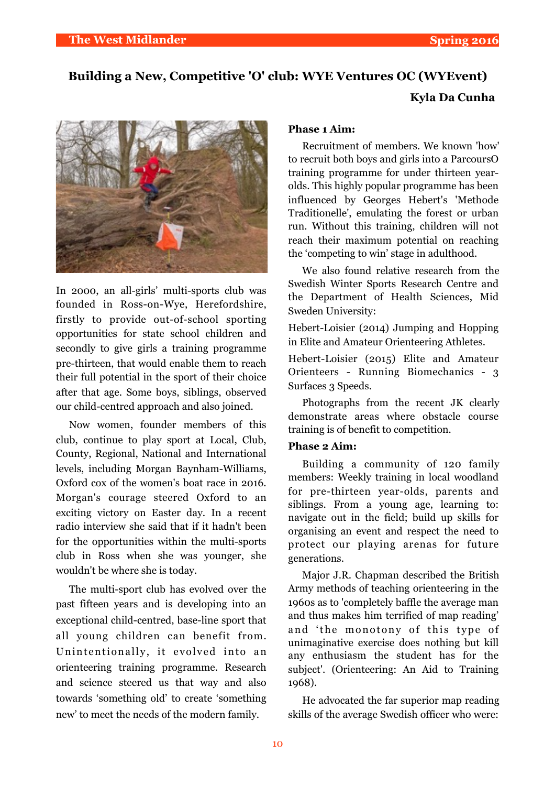**Kyla Da Cunha**

# **Building a New, Competitive 'O' club: WYE Ventures OC (WYEvent)**



In 2000, an all-girls' multi-sports club was founded in Ross-on-Wye, Herefordshire, firstly to provide out-of-school sporting opportunities for state school children and secondly to give girls a training programme pre-thirteen, that would enable them to reach their full potential in the sport of their choice after that age. Some boys, siblings, observed our child-centred approach and also joined.

Now women, founder members of this club, continue to play sport at Local, Club, County, Regional, National and International levels, including Morgan Baynham-Williams, Oxford cox of the women's boat race in 2016. Morgan's courage steered Oxford to an exciting victory on Easter day. In a recent radio interview she said that if it hadn't been for the opportunities within the multi-sports club in Ross when she was younger, she wouldn't be where she is today.

The multi-sport club has evolved over the past fifteen years and is developing into an exceptional child-centred, base-line sport that all young children can benefit from. Unintentionally, it evolved into an orienteering training programme. Research and science steered us that way and also towards 'something old' to create 'something new' to meet the needs of the modern family.

#### **Phase 1 Aim:**

Recruitment of members. We known 'how' to recruit both boys and girls into a ParcoursO training programme for under thirteen yearolds. This highly popular programme has been influenced by Georges Hebert's 'Methode Traditionelle', emulating the forest or urban run. Without this training, children will not reach their maximum potential on reaching the 'competing to win' stage in adulthood.

We also found relative research from the Swedish Winter Sports Research Centre and the Department of Health Sciences, Mid Sweden University:

Hebert-Loisier (2014) Jumping and Hopping in Elite and Amateur Orienteering Athletes.

Hebert-Loisier (2015) Elite and Amateur Orienteers - Running Biomechanics - 3 Surfaces 3 Speeds.

Photographs from the recent JK clearly demonstrate areas where obstacle course training is of benefit to competition.

#### **Phase 2 Aim:**

Building a community of 120 family members: Weekly training in local woodland for pre-thirteen year-olds, parents and siblings. From a young age, learning to: navigate out in the field; build up skills for organising an event and respect the need to protect our playing arenas for future generations.

Major J.R. Chapman described the British Army methods of teaching orienteering in the 1960s as to 'completely baffle the average man and thus makes him terrified of map reading' and 'the monotony of this type of unimaginative exercise does nothing but kill any enthusiasm the student has for the subject'. (Orienteering: An Aid to Training 1968).

He advocated the far superior map reading skills of the average Swedish officer who were: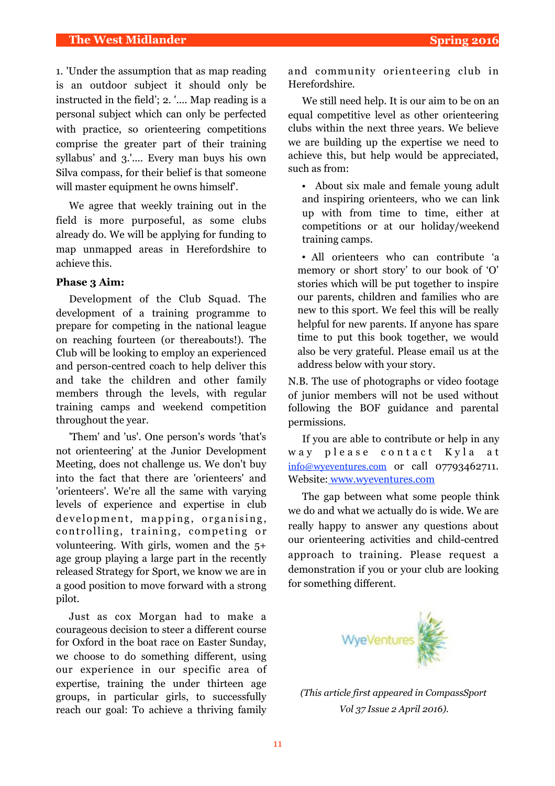1. 'Under the assumption that as map reading is an outdoor subject it should only be instructed in the field'; 2. '.... Map reading is a personal subject which can only be perfected with practice, so orienteering competitions comprise the greater part of their training syllabus' and 3.'.... Every man buys his own Silva compass, for their belief is that someone will master equipment he owns himself'.

We agree that weekly training out in the field is more purposeful, as some clubs already do. We will be applying for funding to map unmapped areas in Herefordshire to achieve this.

#### **Phase 3 Aim:**

Development of the Club Squad. The development of a training programme to prepare for competing in the national league on reaching fourteen (or thereabouts!). The Club will be looking to employ an experienced and person-centred coach to help deliver this and take the children and other family members through the levels, with regular training camps and weekend competition throughout the year.

'Them' and 'us'. One person's words 'that's not orienteering' at the Junior Development Meeting, does not challenge us. We don't buy into the fact that there are 'orienteers' and 'orienteers'. We're all the same with varying levels of experience and expertise in club development, mapping, organising, controlling, training, competing or volunteering. With girls, women and the 5+ age group playing a large part in the recently released Strategy for Sport, we know we are in a good position to move forward with a strong pilot.

Just as cox Morgan had to make a courageous decision to steer a different course for Oxford in the boat race on Easter Sunday, we choose to do something different, using our experience in our specific area of expertise, training the under thirteen age groups, in particular girls, to successfully reach our goal: To achieve a thriving family and community orienteering club in Herefordshire.

We still need help. It is our aim to be on an equal competitive level as other orienteering clubs within the next three years. We believe we are building up the expertise we need to achieve this, but help would be appreciated, such as from:

• About six male and female young adult and inspiring orienteers, who we can link up with from time to time, either at competitions or at our holiday/weekend training camps.

• All orienteers who can contribute 'a memory or short story' to our book of 'O' stories which will be put together to inspire our parents, children and families who are new to this sport. We feel this will be really helpful for new parents. If anyone has spare time to put this book together, we would also be very grateful. Please email us at the address below with your story.

N.B. The use of photographs or video footage of junior members will not be used without following the BOF guidance and parental permissions.

If you are able to contribute or help in any way please contact Kyla at [info@wyeventures.com](mailto:info@wyeventures.com) or call 07793462711. Website: [www.wyeventures.com](http://www.wyeventures.com)

The gap between what some people think we do and what we actually do is wide. We are really happy to answer any questions about our orienteering activities and child-centred approach to training. Please request a demonstration if you or your club are looking for something different.



*(This article first appeared in CompassSport Vol 37 Issue 2 April 2016).*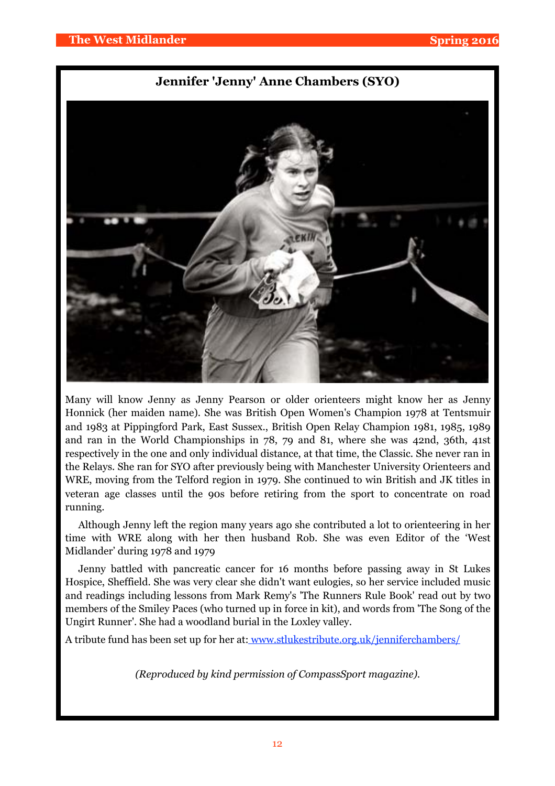#### **Jennifer 'Jenny' Anne Chambers (SYO)**



Many will know Jenny as Jenny Pearson or older orienteers might know her as Jenny Honnick (her maiden name). She was British Open Women's Champion 1978 at Tentsmuir and 1983 at Pippingford Park, East Sussex., British Open Relay Champion 1981, 1985, 1989 and ran in the World Championships in 78, 79 and 81, where she was 42nd, 36th, 41st respectively in the one and only individual distance, at that time, the Classic. She never ran in the Relays. She ran for SYO after previously being with Manchester University Orienteers and WRE, moving from the Telford region in 1979. She continued to win British and JK titles in veteran age classes until the 90s before retiring from the sport to concentrate on road running.

Although Jenny left the region many years ago she contributed a lot to orienteering in her time with WRE along with her then husband Rob. She was even Editor of the 'West Midlander' during 1978 and 1979

Jenny battled with pancreatic cancer for 16 months before passing away in St Lukes Hospice, Sheffield. She was very clear she didn't want eulogies, so her service included music and readings including lessons from Mark Remy's 'The Runners Rule Book' read out by two members of the Smiley Paces (who turned up in force in kit), and words from 'The Song of the Ungirt Runner'. She had a woodland burial in the Loxley valley.

A tribute fund has been set up for her at: [www.stlukestribute.org.uk/jenniferchambers/](http://www.stlukestribute.org.uk/jenniferchambers/)

*(Reproduced by kind permission of CompassSport magazine).*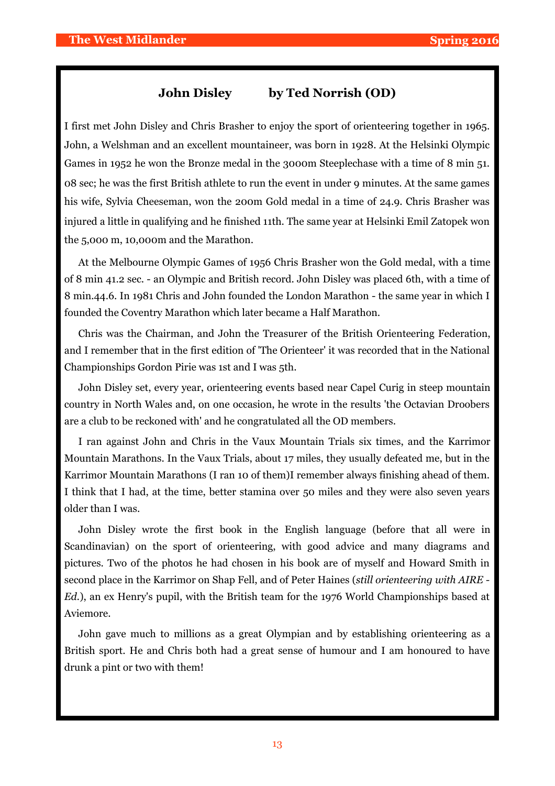#### **John Disley by Ted Norrish (OD)**

I first met John Disley and Chris Brasher to enjoy the sport of orienteering together in 1965. John, a Welshman and an excellent mountaineer, was born in 1928. At the Helsinki Olympic Games in 1952 he won the Bronze medal in the 3000m Steeplechase with a time of 8 min 51. 08 sec; he was the first British athlete to run the event in under 9 minutes. At the same games his wife, Sylvia Cheeseman, won the 200m Gold medal in a time of 24.9. Chris Brasher was injured a little in qualifying and he finished 11th. The same year at Helsinki Emil Zatopek won the 5,000 m, 10,000m and the Marathon.

At the Melbourne Olympic Games of 1956 Chris Brasher won the Gold medal, with a time of 8 min 41.2 sec. - an Olympic and British record. John Disley was placed 6th, with a time of 8 min.44.6. In 1981 Chris and John founded the London Marathon - the same year in which I founded the Coventry Marathon which later became a Half Marathon.

Chris was the Chairman, and John the Treasurer of the British Orienteering Federation, and I remember that in the first edition of 'The Orienteer' it was recorded that in the National Championships Gordon Pirie was 1st and I was 5th.

John Disley set, every year, orienteering events based near Capel Curig in steep mountain country in North Wales and, on one occasion, he wrote in the results 'the Octavian Droobers are a club to be reckoned with' and he congratulated all the OD members.

I ran against John and Chris in the Vaux Mountain Trials six times, and the Karrimor Mountain Marathons. In the Vaux Trials, about 17 miles, they usually defeated me, but in the Karrimor Mountain Marathons (I ran 10 of them)I remember always finishing ahead of them. I think that I had, at the time, better stamina over 50 miles and they were also seven years older than I was.

John Disley wrote the first book in the English language (before that all were in Scandinavian) on the sport of orienteering, with good advice and many diagrams and pictures. Two of the photos he had chosen in his book are of myself and Howard Smith in second place in the Karrimor on Shap Fell, and of Peter Haines (*still orienteering with AIRE - Ed.*), an ex Henry's pupil, with the British team for the 1976 World Championships based at Aviemore.

John gave much to millions as a great Olympian and by establishing orienteering as a British sport. He and Chris both had a great sense of humour and I am honoured to have drunk a pint or two with them!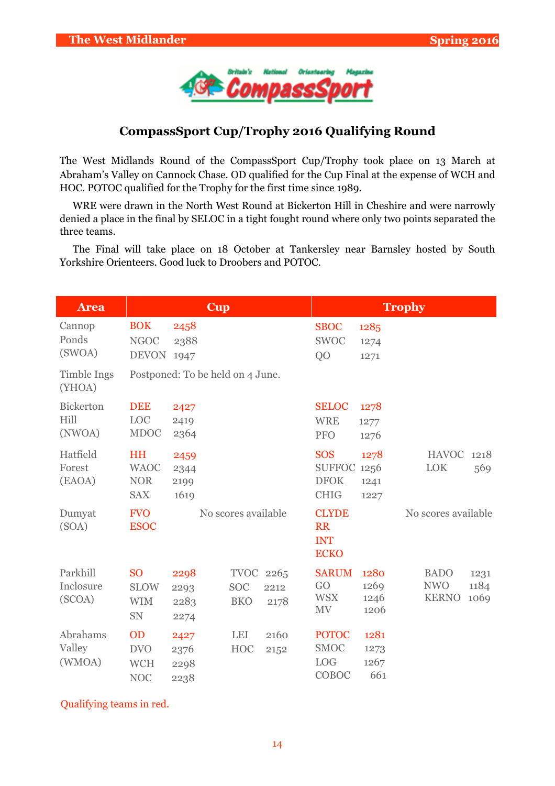

## **CompassSport Cup/Trophy 2016 Qualifying Round**

The West Midlands Round of the CompassSport Cup/Trophy took place on 13 March at Abraham's Valley on Cannock Chase. OD qualified for the Cup Final at the expense of WCH and HOC. POTOC qualified for the Trophy for the first time since 1989.

WRE were drawn in the North West Round at Bickerton Hill in Cheshire and were narrowly denied a place in the final by SELOC in a tight fought round where only two points separated the three teams.

The Final will take place on 18 October at Tankersley near Barnsley hosted by South Yorkshire Orienteers. Good luck to Droobers and POTOC.

| <b>Area</b>                        |                                                      | Cup                              |                                       |              | Trophy                                                    |                              |                                           |                      |
|------------------------------------|------------------------------------------------------|----------------------------------|---------------------------------------|--------------|-----------------------------------------------------------|------------------------------|-------------------------------------------|----------------------|
| Cannop<br>Ponds<br>(SWOA)          | <b>BOK</b><br><b>NGOC</b><br><b>DEVON</b>            | 2458<br>2388<br>1947             |                                       |              | <b>SBOC</b><br><b>SWOC</b><br>Q <sub>O</sub>              | 1285<br>1274<br>1271         |                                           |                      |
| Timble Ings<br>(YHOA)              |                                                      | Postponed: To be held on 4 June. |                                       |              |                                                           |                              |                                           |                      |
| <b>Bickerton</b><br>Hill<br>(NWOA) | <b>DEE</b><br>LOC<br><b>MDOC</b>                     | 2427<br>2419<br>2364             |                                       |              | <b>SELOC</b><br><b>WRE</b><br><b>PFO</b>                  | 1278<br>1277<br>1276         |                                           |                      |
| Hatfield<br>Forest<br>(EAOA)       | <b>HH</b><br><b>WAOC</b><br><b>NOR</b><br><b>SAX</b> | 2459<br>2344<br>2199<br>1619     |                                       |              | <b>SOS</b><br><b>SUFFOC</b><br><b>DFOK</b><br><b>CHIG</b> | 1278<br>1256<br>1241<br>1227 | <b>HAVOC</b><br><b>LOK</b>                | 1218<br>569          |
| Dumyat<br>(SOA)                    | <b>FVO</b><br><b>ESOC</b>                            |                                  | No scores available                   |              | <b>CLYDE</b><br><b>RR</b><br><b>INT</b><br><b>ECKO</b>    |                              | No scores available                       |                      |
| Parkhill<br>Inclosure<br>(SCOA)    | <b>SO</b><br><b>SLOW</b><br><b>WIM</b><br>SN         | 2298<br>2293<br>2283<br>2274     | TVOC 2265<br><b>SOC</b><br><b>BKO</b> | 2212<br>2178 | <b>SARUM</b><br>GO<br><b>WSX</b><br><b>MV</b>             | 1280<br>1269<br>1246<br>1206 | <b>BADO</b><br><b>NWO</b><br><b>KERNO</b> | 1231<br>1184<br>1069 |
| Abrahams<br>Valley<br>(WMOA)       | <b>OD</b><br><b>DVO</b><br><b>WCH</b><br><b>NOC</b>  | 2427<br>2376<br>2298<br>2238     | <b>LEI</b><br><b>HOC</b>              | 2160<br>2152 | <b>POTOC</b><br><b>SMOC</b><br><b>LOG</b><br>COBOC        | 1281<br>1273<br>1267<br>661  |                                           |                      |

Qualifying teams in red.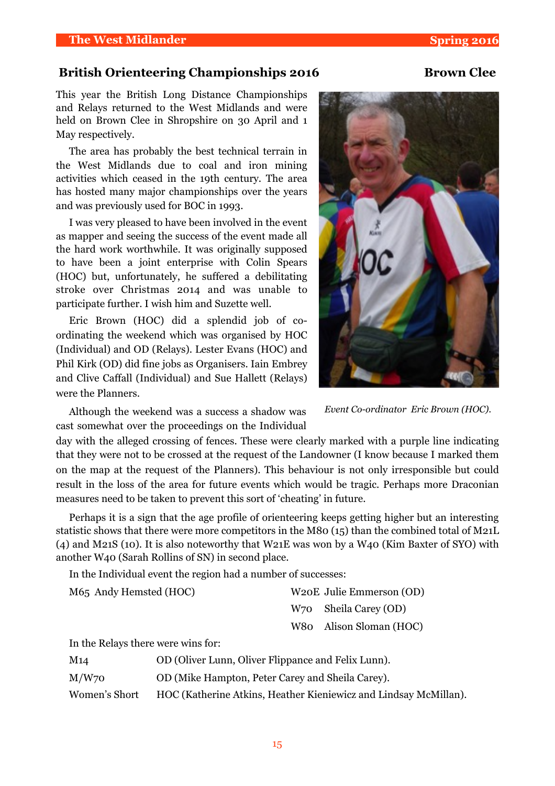#### **British Orienteering Championships 2016 Brown Clee**

This year the British Long Distance Championships and Relays returned to the West Midlands and were held on Brown Clee in Shropshire on 30 April and 1 May respectively.

The area has probably the best technical terrain in the West Midlands due to coal and iron mining activities which ceased in the 19th century. The area has hosted many major championships over the years and was previously used for BOC in 1993.

I was very pleased to have been involved in the event as mapper and seeing the success of the event made all the hard work worthwhile. It was originally supposed to have been a joint enterprise with Colin Spears (HOC) but, unfortunately, he suffered a debilitating stroke over Christmas 2014 and was unable to participate further. I wish him and Suzette well.

Eric Brown (HOC) did a splendid job of coordinating the weekend which was organised by HOC (Individual) and OD (Relays). Lester Evans (HOC) and Phil Kirk (OD) did fine jobs as Organisers. Iain Embrey and Clive Caffall (Individual) and Sue Hallett (Relays) were the Planners.



Although the weekend was a success a shadow was cast somewhat over the proceedings on the Individual

*Event Co-ordinator Eric Brown (HOC).*

day with the alleged crossing of fences. These were clearly marked with a purple line indicating that they were not to be crossed at the request of the Landowner (I know because I marked them on the map at the request of the Planners). This behaviour is not only irresponsible but could result in the loss of the area for future events which would be tragic. Perhaps more Draconian measures need to be taken to prevent this sort of 'cheating' in future.

Perhaps it is a sign that the age profile of orienteering keeps getting higher but an interesting statistic shows that there were more competitors in the M80 (15) than the combined total of M21L (4) and M21S (10). It is also noteworthy that W21E was won by a W40 (Kim Baxter of SYO) with another W40 (Sarah Rollins of SN) in second place.

In the Individual event the region had a number of successes:

| M65 Andy Hemsted (HOC) | W <sub>20</sub> E Julie Emmerson (OD) |
|------------------------|---------------------------------------|
|                        | W <sub>70</sub> Sheila Carey (OD)     |
|                        | W80 Alison Sloman (HOC)               |
| ו והות ד               |                                       |

In the Relays there were wins for:

| M14           | OD (Oliver Lunn, Oliver Flippance and Felix Lunn).               |
|---------------|------------------------------------------------------------------|
| $M/W$ 70      | OD (Mike Hampton, Peter Carey and Sheila Carey).                 |
| Women's Short | HOC (Katherine Atkins, Heather Kieniewicz and Lindsay McMillan). |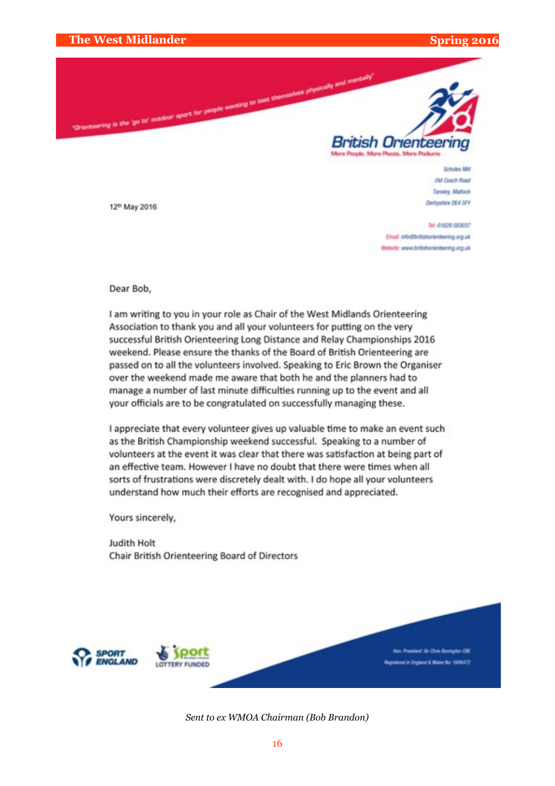

**Scholas Mit** Old Coach Road Tansley, Matlock **Derhanbie OS4 SEV** 

Tel: 01629 583037 Email: info@britishorienteering.org.uk Website: www.britishorienteering.org.uk

12<sup>th</sup> May 2016

Dear Bob,

I am writing to you in your role as Chair of the West Midlands Orienteering Association to thank you and all your volunteers for putting on the very successful British Orienteering Long Distance and Relay Championships 2016 weekend. Please ensure the thanks of the Board of British Orienteering are passed on to all the volunteers involved. Speaking to Eric Brown the Organiser over the weekend made me aware that both he and the planners had to manage a number of last minute difficulties running up to the event and all your officials are to be congratulated on successfully managing these.

I appreciate that every volunteer gives up valuable time to make an event such as the British Championship weekend successful. Speaking to a number of volunteers at the event it was clear that there was satisfaction at being part of an effective team. However I have no doubt that there were times when all sorts of frustrations were discretely dealt with. I do hope all your volunteers understand how much their efforts are recognised and appreciated.

Yours sincerely,

Judith Holt Chair British Orienteering Board of Directors



*Sent to ex WMOA Chairman (Bob Brandon)*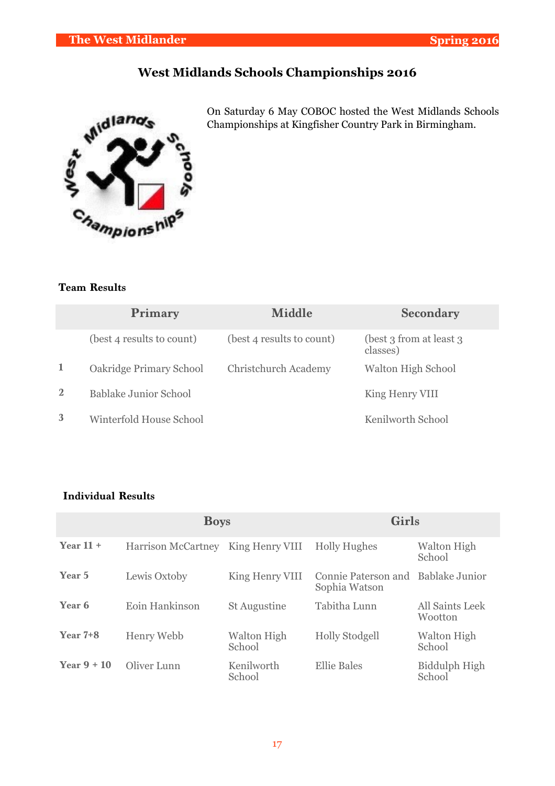# **West Midlands Schools Championships 2016**



On Saturday 6 May COBOC hosted the West Midlands Schools Championships at Kingfisher Country Park in Birmingham.

#### **Team Results**

|                | Primary                   | <b>Middle</b>               | <b>Secondary</b>                     |
|----------------|---------------------------|-----------------------------|--------------------------------------|
|                | (best 4 results to count) | (best 4 results to count)   | (best 3 from at least 3)<br>classes) |
| -1             | Oakridge Primary School   | <b>Christchurch Academy</b> | Walton High School                   |
| $\overline{2}$ | Bablake Junior School     |                             | King Henry VIII                      |
| 3              | Winterfold House School   |                             | Kenilworth School                    |

#### **Individual Results**

|               | <b>Boys</b>               |                       | Girls                                               |                              |  |  |
|---------------|---------------------------|-----------------------|-----------------------------------------------------|------------------------------|--|--|
| Year $11 +$   | <b>Harrison McCartney</b> | King Henry VIII       | <b>Holly Hughes</b>                                 | <b>Walton High</b><br>School |  |  |
| Year 5        | Lewis Oxtoby              | King Henry VIII       | Connie Paterson and Bablake Junior<br>Sophia Watson |                              |  |  |
| Year 6        | Eoin Hankinson            | <b>St Augustine</b>   | Tabitha Lunn                                        | All Saints Leek<br>Wootton   |  |  |
| Year $7+8$    | Henry Webb                | Walton High<br>School | <b>Holly Stodgell</b>                               | <b>Walton High</b><br>School |  |  |
| Year $9 + 10$ | Oliver Lunn               | Kenilworth<br>School  | <b>Ellie Bales</b>                                  | Biddulph High<br>School      |  |  |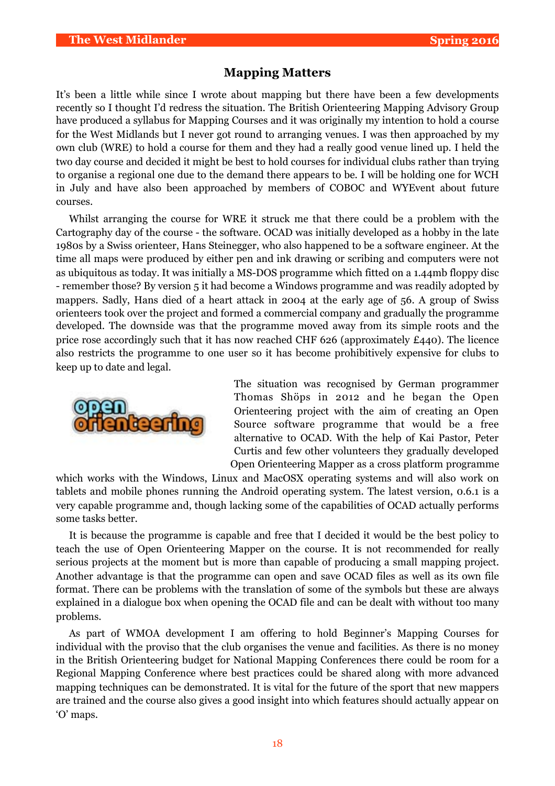#### **Mapping Matters**

It's been a little while since I wrote about mapping but there have been a few developments recently so I thought I'd redress the situation. The British Orienteering Mapping Advisory Group have produced a syllabus for Mapping Courses and it was originally my intention to hold a course for the West Midlands but I never got round to arranging venues. I was then approached by my own club (WRE) to hold a course for them and they had a really good venue lined up. I held the two day course and decided it might be best to hold courses for individual clubs rather than trying to organise a regional one due to the demand there appears to be. I will be holding one for WCH in July and have also been approached by members of COBOC and WYEvent about future courses.

Whilst arranging the course for WRE it struck me that there could be a problem with the Cartography day of the course - the software. OCAD was initially developed as a hobby in the late 1980s by a Swiss orienteer, Hans Steinegger, who also happened to be a software engineer. At the time all maps were produced by either pen and ink drawing or scribing and computers were not as ubiquitous as today. It was initially a MS-DOS programme which fitted on a 1.44mb floppy disc - remember those? By version 5 it had become a Windows programme and was readily adopted by mappers. Sadly, Hans died of a heart attack in 2004 at the early age of 56. A group of Swiss orienteers took over the project and formed a commercial company and gradually the programme developed. The downside was that the programme moved away from its simple roots and the price rose accordingly such that it has now reached CHF 626 (approximately £440). The licence also restricts the programme to one user so it has become prohibitively expensive for clubs to keep up to date and legal.



The situation was recognised by German programmer Thomas Shöps in 2012 and he began the Open Orienteering project with the aim of creating an Open Source software programme that would be a free alternative to OCAD. With the help of Kai Pastor, Peter Curtis and few other volunteers they gradually developed Open Orienteering Mapper as a cross platform programme

which works with the Windows, Linux and MacOSX operating systems and will also work on tablets and mobile phones running the Android operating system. The latest version, 0.6.1 is a very capable programme and, though lacking some of the capabilities of OCAD actually performs some tasks better.

It is because the programme is capable and free that I decided it would be the best policy to teach the use of Open Orienteering Mapper on the course. It is not recommended for really serious projects at the moment but is more than capable of producing a small mapping project. Another advantage is that the programme can open and save OCAD files as well as its own file format. There can be problems with the translation of some of the symbols but these are always explained in a dialogue box when opening the OCAD file and can be dealt with without too many problems.

As part of WMOA development I am offering to hold Beginner's Mapping Courses for individual with the proviso that the club organises the venue and facilities. As there is no money in the British Orienteering budget for National Mapping Conferences there could be room for a Regional Mapping Conference where best practices could be shared along with more advanced mapping techniques can be demonstrated. It is vital for the future of the sport that new mappers are trained and the course also gives a good insight into which features should actually appear on 'O' maps.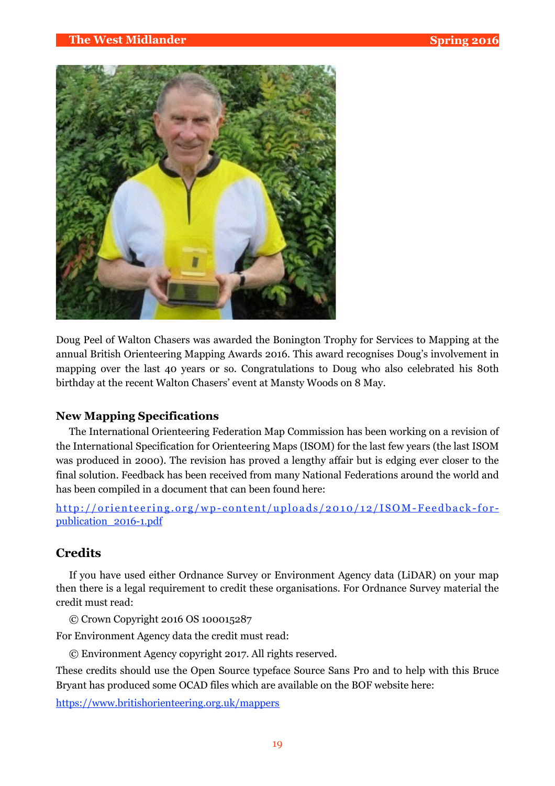

Doug Peel of Walton Chasers was awarded the Bonington Trophy for Services to Mapping at the annual British Orienteering Mapping Awards 2016. This award recognises Doug's involvement in mapping over the last 40 years or so. Congratulations to Doug who also celebrated his 80th birthday at the recent Walton Chasers' event at Mansty Woods on 8 May.

#### **New Mapping Specifications**

The International Orienteering Federation Map Commission has been working on a revision of the International Specification for Orienteering Maps (ISOM) for the last few years (the last ISOM was produced in 2000). The revision has proved a lengthy affair but is edging ever closer to the final solution. Feedback has been received from many National Federations around the world and has been compiled in a document that can been found here:

[http://orienteering.org/wp-content/uploads/2010/12/ISOM-Feedback-for](http://orienteering.org/wp-content/uploads/2010/12/ISOM-Feedback-for-publication_2016-1.pdf)publication\_2016-1.pdf

#### **Credits**

If you have used either Ordnance Survey or Environment Agency data (LiDAR) on your map then there is a legal requirement to credit these organisations. For Ordnance Survey material the credit must read:

© Crown Copyright 2016 OS 100015287

For Environment Agency data the credit must read:

© Environment Agency copyright 2017. All rights reserved.

These credits should use the Open Source typeface Source Sans Pro and to help with this Bruce Bryant has produced some OCAD files which are available on the BOF website here:

<https://www.britishorienteering.org.uk/mappers>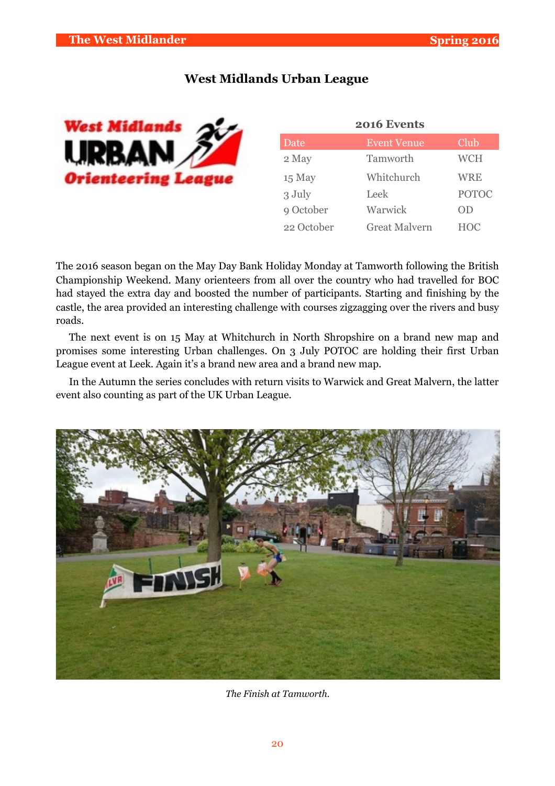#### **West Midlands Urban League**



| 2016 Events |                      |              |  |  |  |  |  |
|-------------|----------------------|--------------|--|--|--|--|--|
| Date        | <b>Event Venue</b>   | Club         |  |  |  |  |  |
| 2 May       | Tamworth             | <b>WCH</b>   |  |  |  |  |  |
| 15 May      | Whitchurch           | <b>WRE</b>   |  |  |  |  |  |
| 3 July      | Leek                 | <b>POTOC</b> |  |  |  |  |  |
| 9 October   | Warwick              | OD           |  |  |  |  |  |
| 22 October  | <b>Great Malvern</b> | <b>HOC</b>   |  |  |  |  |  |

The 2016 season began on the May Day Bank Holiday Monday at Tamworth following the British Championship Weekend. Many orienteers from all over the country who had travelled for BOC had stayed the extra day and boosted the number of participants. Starting and finishing by the castle, the area provided an interesting challenge with courses zigzagging over the rivers and busy roads.

The next event is on 15 May at Whitchurch in North Shropshire on a brand new map and promises some interesting Urban challenges. On 3 July POTOC are holding their first Urban League event at Leek. Again it's a brand new area and a brand new map.

In the Autumn the series concludes with return visits to Warwick and Great Malvern, the latter event also counting as part of the UK Urban League.



*The Finish at Tamworth.*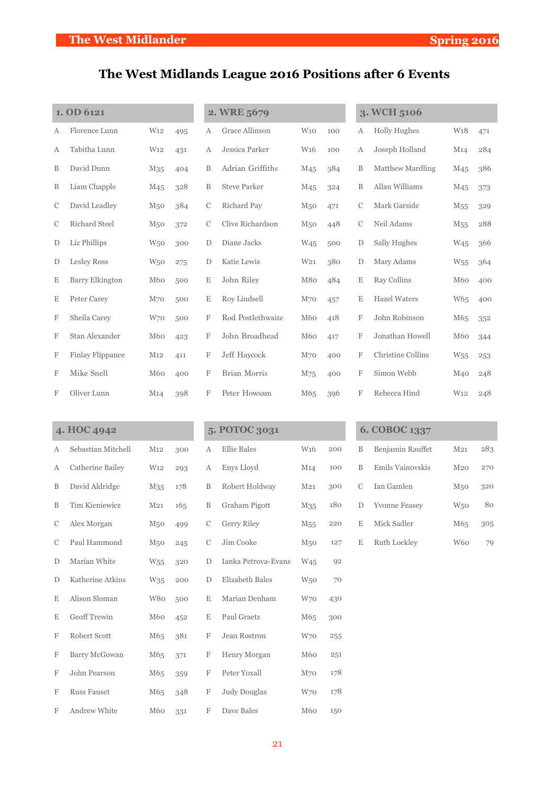# **The West Midlands League 2016 Positions after 6 Events**

| 1. OD 6121    |                        |                 |     | 2. WRE 5679   |                     |                 |     | 3. WCH 5106   |                     |                 |     |
|---------------|------------------------|-----------------|-----|---------------|---------------------|-----------------|-----|---------------|---------------------|-----------------|-----|
| А             | Florence Lunn          | W <sub>12</sub> | 495 | А             | Grace Allinson      | W10             | 100 | Α             | <b>Holly Hughes</b> | W <sub>18</sub> | 471 |
| А             | Tabitha Lunn           | W <sub>12</sub> | 431 | А             | Jessica Parker      | W <sub>16</sub> | 100 | A             | Joseph Holland      | M14             | 284 |
| B             | David Dunn             | M <sub>35</sub> | 404 | B             | Adrian Griffiths    | M <sub>45</sub> | 384 | B             | Matthew Mardling    | M <sub>45</sub> | 386 |
| B             | Liam Chapple           | M <sub>45</sub> | 328 | B             | <b>Steve Parker</b> | M <sub>45</sub> | 324 | B             | Allan Williams      | M <sub>45</sub> | 373 |
| $\mathcal{C}$ | David Leadley          | M <sub>50</sub> | 384 | $\mathcal{C}$ | Richard Pay         | M <sub>50</sub> | 471 | $\mathcal{C}$ | Mark Garside        | M <sub>55</sub> | 329 |
| C             | <b>Richard Steel</b>   | M <sub>50</sub> | 372 | $\mathcal{C}$ | Clive Richardson    | M <sub>50</sub> | 448 | $\mathcal{C}$ | Neil Adams          | M <sub>55</sub> | 288 |
| D             | Liz Phillips           | W <sub>50</sub> | 300 | D             | Diane Jacks         | W <sub>45</sub> | 500 | D             | Sally Hughes        | W <sub>45</sub> | 366 |
| D             | <b>Lesley Ross</b>     | W <sub>50</sub> | 275 | D             | Katie Lewis         | W <sub>21</sub> | 380 | D             | Mary Adams          | W <sub>55</sub> | 364 |
| Ε             | <b>Barry Elkington</b> | M60             | 500 | E             | John Riley          | M80             | 484 | E             | Ray Collins         | M60             | 400 |
| Ε             | Peter Carey            | M70             | 500 | Ε             | Roy Lindsell        | M <sub>70</sub> | 457 | Ε             | <b>Hazel Waters</b> | W65             | 400 |
| F             | Sheila Carey           | W70             | 500 | F             | Rod Postlethwaite   | M60             | 418 | F             | John Robinson       | M <sub>65</sub> | 352 |
| F             | Stan Alexander         | M60             | 423 | F             | John Broadhead      | M60             | 417 | F             | Jonathan Howell     | M60             | 344 |
| F             | Finlay Flippance       | M12             | 411 | F             | Jeff Haycock        | M <sub>70</sub> | 400 | F             | Christine Collins   | W <sub>55</sub> | 253 |
| F             | Mike Snell             | M60             | 400 | F             | <b>Brian Morris</b> | M75             | 400 | F             | Simon Webb          | M <sub>40</sub> | 248 |
| F             | Oliver Lunn            | M14             | 398 | F             | Peter Howsam        | M65             | 396 | F             | Rebecca Hind        | W <sub>12</sub> | 248 |

| 4. HOC 4942   |                    |                 |     | 5. POTOC 3031 |                     |                 | 6. COBOC 1337 |               |                      |                 |     |
|---------------|--------------------|-----------------|-----|---------------|---------------------|-----------------|---------------|---------------|----------------------|-----------------|-----|
| А             | Sebastian Mitchell | M12             | 300 | А             | <b>Ellie Bales</b>  | W <sub>16</sub> | 200           | B             | Benjamin Rauffet     | M <sub>21</sub> | 283 |
| А             | Catherine Bailey   | W <sub>12</sub> | 293 | А             | Enys Lloyd          | M14             | 100           | $\mathbf B$   | Emils Vainovskis     | $M_{20}$        | 270 |
| B             | David Aldridge     | M <sub>35</sub> | 178 | $\, {\bf B}$  | Robert Holdway      | M <sub>21</sub> | 300           | $\mathcal{C}$ | Ian Gamlen           | M <sub>50</sub> | 320 |
| B             | Tim Kieniewicz     | M <sub>21</sub> | 165 | $\, {\bf B}$  | Graham Pigott       | M <sub>35</sub> | 180           | D             | <b>Yvonne Feasey</b> | W <sub>50</sub> | 80  |
| C             | Alex Morgan        | M <sub>50</sub> | 499 | C             | <b>Gerry Riley</b>  | M <sub>55</sub> | 220           | $\mathbf E$   | Mick Sadler          | M65             | 305 |
| $\mathcal{C}$ | Paul Hammond       | M <sub>50</sub> | 245 | $\mathcal{C}$ | Jim Cooke           | M <sub>50</sub> | 127           | E             | Ruth Lockley         | W <sub>60</sub> | 79  |
| D             | Marian White       | W <sub>55</sub> | 320 | D             | Ianka Petrova-Evans | W <sub>45</sub> | 92            |               |                      |                 |     |
| $\mathbf D$   | Katherine Atkins   | W35             | 200 | D             | Elizabeth Bales     | W <sub>50</sub> | 70            |               |                      |                 |     |
| E             | Alison Sloman      | W80             | 500 | E             | Marian Denham       | W70             | 430           |               |                      |                 |     |
| E             | Geoff Trewin       | M60             | 452 | E             | Paul Graetz         | M65             | 300           |               |                      |                 |     |
| F             | Robert Scott       | M65             | 381 | F             | Jean Rostron        | W70             | 255           |               |                      |                 |     |
| F             | Barry McGowan      | M65             | 371 | F             | Henry Morgan        | M60             | 251           |               |                      |                 |     |
| F             | John Pearson       | M65             | 359 | F             | Peter Yoxall        | M <sub>70</sub> | 178           |               |                      |                 |     |
| F             | <b>Russ Fauset</b> | M65             | 348 | F             | <b>Judy Douglas</b> | W <sub>70</sub> | 178           |               |                      |                 |     |
| F             | Andrew White       | M60             | 331 | F             | Dave Bales          | M60             | 150           |               |                      |                 |     |

|    | <b>6. COBOC 1337</b> |                 |     |
|----|----------------------|-----------------|-----|
| В  | Benjamin Rauffet     | M <sub>21</sub> | 283 |
| B  | Emils Vainovskis     | M <sub>20</sub> | 270 |
| C  | Ian Gamlen           | M <sub>50</sub> | 320 |
| D  | <b>Yvonne Feasey</b> | <b>W50</b>      | 80  |
| F. | Mick Sadler          | M <sub>65</sub> | 305 |
| E  | Ruth Lockley         | W60             |     |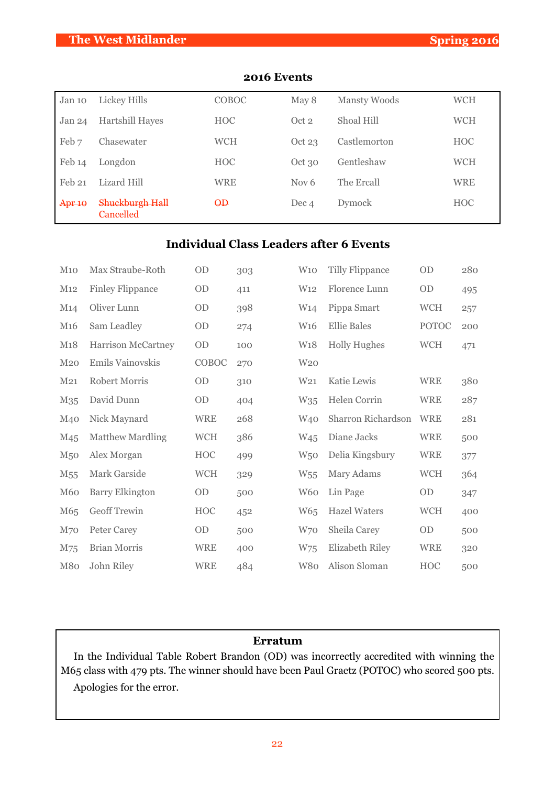### **The West Midlander Spring 2016**

| Jan 10            | Lickey Hills                 | COBOC      | May 8            | Mansty Woods | <b>WCH</b> |
|-------------------|------------------------------|------------|------------------|--------------|------------|
| Jan <sub>24</sub> | <b>Hartshill Hayes</b>       | <b>HOC</b> | Oct <sub>2</sub> | Shoal Hill   | <b>WCH</b> |
| Feb 7             | Chasewater                   | <b>WCH</b> | Oct 23           | Castlemorton | <b>HOC</b> |
| Feb 14            | Longdon                      | <b>HOC</b> | Oct 30           | Gentleshaw   | <b>WCH</b> |
| Feb 21            | Lizard Hill                  | <b>WRE</b> | Nov $6$          | The Ercall   | <b>WRE</b> |
| Apr 10            | Shuckburgh Hall<br>Cancelled | $\Theta$   | Dec 4            | Dymock       | <b>HOC</b> |

#### **2016 Events**

#### **Individual Class Leaders after 6 Events**

| M10             | Max Straube-Roth        | OD         | 303 | W10             | <b>Tilly Flippance</b> | OD           | 280 |
|-----------------|-------------------------|------------|-----|-----------------|------------------------|--------------|-----|
| M12             | <b>Finley Flippance</b> | OD         | 411 | W <sub>12</sub> | Florence Lunn          | <b>OD</b>    | 495 |
| M14             | Oliver Lunn             | OD         | 398 | W <sub>14</sub> | Pippa Smart            | <b>WCH</b>   | 257 |
| M <sub>16</sub> | Sam Leadley             | OD         | 274 | W <sub>16</sub> | <b>Ellie Bales</b>     | <b>POTOC</b> | 200 |
| M18             | Harrison McCartney      | OD         | 100 | W <sub>18</sub> | <b>Holly Hughes</b>    | <b>WCH</b>   | 471 |
| M <sub>20</sub> | Emils Vainovskis        | COBOC      | 270 | W <sub>20</sub> |                        |              |     |
| M <sub>21</sub> | <b>Robert Morris</b>    | <b>OD</b>  | 310 | W <sub>21</sub> | Katie Lewis            | <b>WRE</b>   | 380 |
| M <sub>35</sub> | David Dunn              | OD         | 404 | W35             | Helen Corrin           | <b>WRE</b>   | 287 |
| M <sub>40</sub> | Nick Maynard            | <b>WRE</b> | 268 | W <sub>40</sub> | Sharron Richardson     | <b>WRE</b>   | 281 |
| M <sub>45</sub> | <b>Matthew Mardling</b> | <b>WCH</b> | 386 | W <sub>45</sub> | Diane Jacks            | <b>WRE</b>   | 500 |
| M <sub>50</sub> | Alex Morgan             | HOC        | 499 | W <sub>50</sub> | Delia Kingsbury        | <b>WRE</b>   | 377 |
| M <sub>55</sub> | Mark Garside            | <b>WCH</b> | 329 | W <sub>55</sub> | Mary Adams             | <b>WCH</b>   | 364 |
| M <sub>60</sub> | <b>Barry Elkington</b>  | OD         | 500 | W <sub>60</sub> | Lin Page               | OD           | 347 |
| M65             | <b>Geoff Trewin</b>     | HOC        | 452 | W <sub>65</sub> | <b>Hazel Waters</b>    | <b>WCH</b>   | 400 |
| M <sub>70</sub> | Peter Carey             | <b>OD</b>  | 500 | W70             | Sheila Carey           | <b>OD</b>    | 500 |
| M75             | <b>Brian Morris</b>     | <b>WRE</b> | 400 | W75             | Elizabeth Riley        | <b>WRE</b>   | 320 |
| M80             | John Riley              | <b>WRE</b> | 484 | W80             | Alison Sloman          | HOC          | 500 |

#### **Erratum**

In the Individual Table Robert Brandon (OD) was incorrectly accredited with winning the M65 class with 479 pts. The winner should have been Paul Graetz (POTOC) who scored 500 pts. Apologies for the error.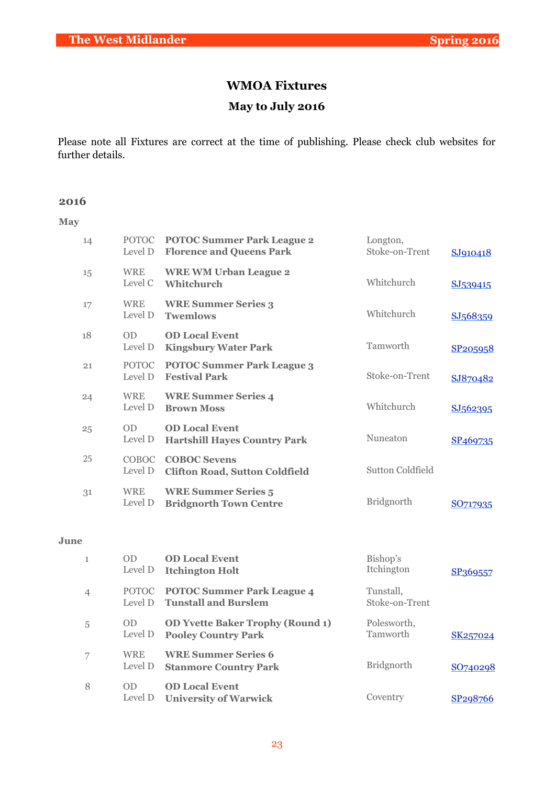# **WMOA Fixtures May to July 2016**

Please note all Fixtures are correct at the time of publishing. Please check club websites for further details.

#### **2016**

**May**

| 14 | Level D                 | POTOC POTOC Summer Park League 2<br><b>Florence and Queens Park</b> | Longton,<br>Stoke-on-Trent | SJ910418             |
|----|-------------------------|---------------------------------------------------------------------|----------------------------|----------------------|
| 15 | <b>WRE</b><br>Level C   | <b>WRE WM Urban League 2</b><br>Whitchurch                          | Whitchurch                 | SJ539415             |
| 17 | <b>WRE</b><br>Level D   | <b>WRE Summer Series 3</b><br><b>Twemlows</b>                       | Whitchurch                 | SJ568359             |
| 18 | OD<br>Level D           | <b>OD Local Event</b><br><b>Kingsbury Water Park</b>                | Tamworth                   | SP205958             |
| 21 | <b>POTOC</b><br>Level D | <b>POTOC Summer Park League 3</b><br><b>Festival Park</b>           | Stoke-on-Trent             | SJ870482             |
| 24 | <b>WRE</b><br>Level D   | <b>WRE Summer Series 4</b><br><b>Brown Moss</b>                     | Whitchurch                 | SJ562395             |
| 25 | OD<br>Level D           | <b>OD Local Event</b><br><b>Hartshill Hayes Country Park</b>        | Nuneaton                   | SP <sub>469735</sub> |
| 25 | <b>COBOC</b><br>Level D | <b>COBOC Sevens</b><br><b>Clifton Road, Sutton Coldfield</b>        | Sutton Coldfield           |                      |
| 31 | <b>WRE</b><br>Level D   | <b>WRE Summer Series 5</b><br><b>Bridgnorth Town Centre</b>         | <b>Bridgnorth</b>          | SO717935             |
|    |                         |                                                                     |                            |                      |

#### **June**

| $\mathbf{1}$   | OD<br>Level D         | <b>OD Local Event</b><br><b>Itchington Holt</b>                       | Bishop's<br>Itchington      | SP369557              |
|----------------|-----------------------|-----------------------------------------------------------------------|-----------------------------|-----------------------|
| $\overline{4}$ | Level D               | POTOC POTOC Summer Park League 4<br><b>Tunstall and Burslem</b>       | Tunstall.<br>Stoke-on-Trent |                       |
| 5              | <b>OD</b><br>Level D  | <b>OD Yvette Baker Trophy (Round 1)</b><br><b>Pooley Country Park</b> | Polesworth,<br>Tamworth     | SK257024              |
| 7              | <b>WRE</b><br>Level D | <b>WRE Summer Series 6</b><br><b>Stanmore Country Park</b>            | <b>Bridgnorth</b>           | SO740298              |
| 8              | OD<br>Level D         | <b>OD Local Event</b><br><b>University of Warwick</b>                 | Coventry                    | SP <sub>29</sub> 8766 |